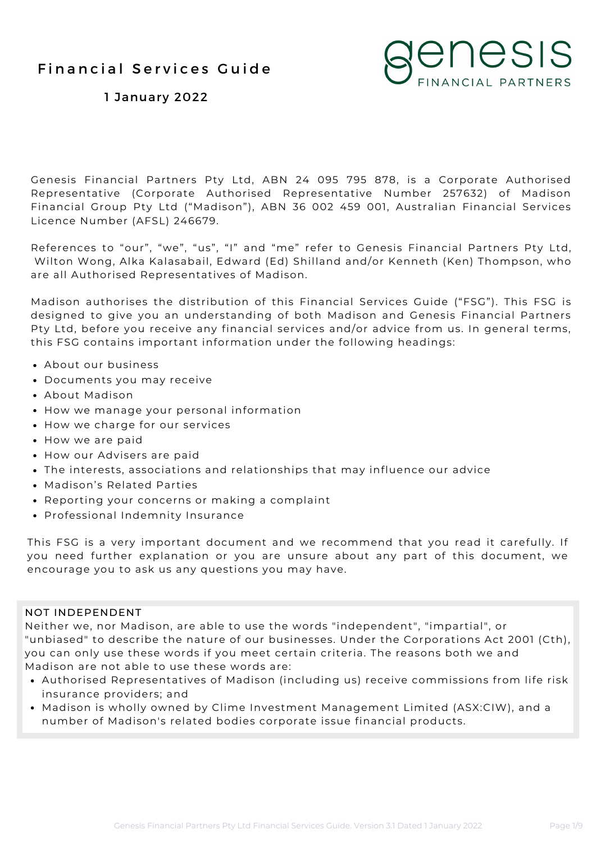

1 January 2022

Genesis Financial Partners Pty Ltd, ABN 24 095 795 878, is a Corporate Authorised Representative (Corporate Authorised Representative Number 257632) of Madison Financial Group Pty Ltd ("Madison"), ABN 36 002 459 001, Australian Financial Services Licence Number (AFSL) 246679.

References to "our", "we", "us", "I" and "me" refer to Genesis Financial Partners Pty Ltd, Wilton Wong, Alka Kalasabail, Edward (Ed) Shilland and/or Kenneth (Ken) Thompson, who are all Authorised Representatives of Madison.

Madison authorises the distribution of this Financial Services Guide ("FSG"). This FSG is designed to give you an understanding of both Madison and Genesis Financial Partners Pty Ltd, before you receive any financial services and/or advice from us. In general terms, this FSG contains important information under the following headings:

- About our business
- Documents you may receive
- About Madison
- How we manage your personal information
- How we charge for our services
- How we are paid
- How our Advisers are paid
- The interests, associations and relationships that may influence our advice
- Madison's Related Parties
- Reporting your concerns or making a complaint
- Professional Indemnity Insurance

This FSG is a very important document and we recommend that you read it carefully. If you need further explanation or you are unsure about any part of this document, we encourage you to ask us any questions you may have.

#### NOT INDEPENDENT

Neither we, nor Madison, are able to use the words "independent", "impartial", or "unbiased" to describe the nature of our businesses. Under the Corporations Act 2001 (Cth), you can only use these words if you meet certain criteria. The reasons both we and Madison are not able to use these words are:

- Authorised Representatives of Madison (including us) receive commissions from life risk insurance providers; and
- Madison is wholly owned by Clime Investment Management Limited (ASX:CIW), and a number of Madison's related bodies corporate issue financial products.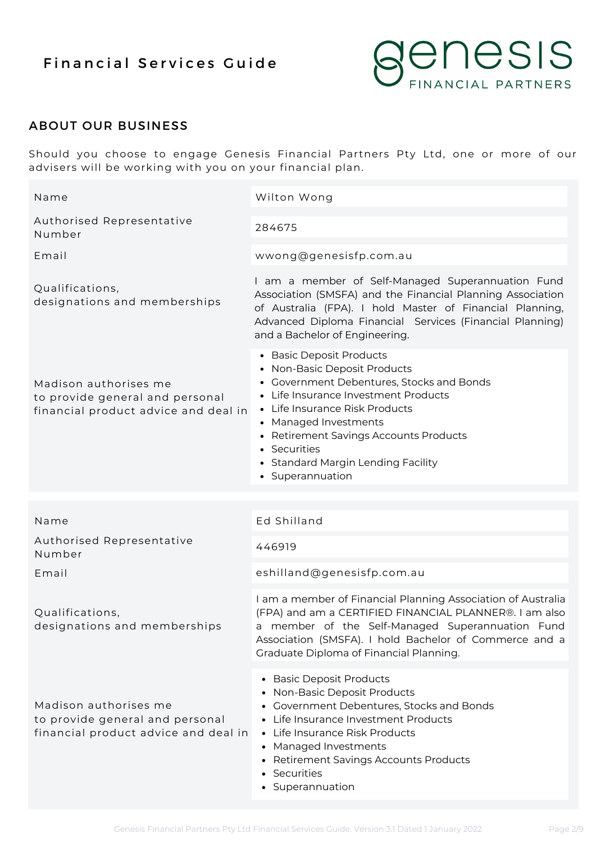

## ABOUT OUR BUSINESS

Should you choose to engage Genesis Financial Partners Pty Ltd, one or more of our advisers will be working with you on your financial plan.

| Name                                                                                             | Wilton Wong                                                                                                                                                                                                                                                                                                                  |
|--------------------------------------------------------------------------------------------------|------------------------------------------------------------------------------------------------------------------------------------------------------------------------------------------------------------------------------------------------------------------------------------------------------------------------------|
| Authorised Representative<br>Number                                                              | 284675                                                                                                                                                                                                                                                                                                                       |
| Email                                                                                            | wwong@genesisfp.com.au                                                                                                                                                                                                                                                                                                       |
| Qualifications,<br>designations and memberships                                                  | I am a member of Self-Managed Superannuation Fund<br>Association (SMSFA) and the Financial Planning Association<br>of Australia (FPA). I hold Master of Financial Planning,<br>Advanced Diploma Financial Services (Financial Planning)<br>and a Bachelor of Engineering.                                                    |
| Madison authorises me<br>to provide general and personal<br>financial product advice and deal in | • Basic Deposit Products<br>• Non-Basic Deposit Products<br>• Government Debentures, Stocks and Bonds<br>• Life Insurance Investment Products<br>• Life Insurance Risk Products<br>• Managed Investments<br>• Retirement Savings Accounts Products<br>• Securities<br>• Standard Margin Lending Facility<br>• Superannuation |
|                                                                                                  |                                                                                                                                                                                                                                                                                                                              |
|                                                                                                  |                                                                                                                                                                                                                                                                                                                              |
| Name                                                                                             | Ed Shilland                                                                                                                                                                                                                                                                                                                  |
| Authorised Representative<br>Number                                                              | 446919                                                                                                                                                                                                                                                                                                                       |
| Email                                                                                            | eshilland@genesisfp.com.au                                                                                                                                                                                                                                                                                                   |
| Qualifications,<br>designations and memberships                                                  | I am a member of Financial Planning Association of Australia<br>(FPA) and am a CERTIFIED FINANCIAL PLANNER®. I am also<br>a member of the Self-Managed Superannuation Fund<br>Association (SMSFA). I hold Bachelor of Commerce and a<br>Graduate Diploma of Financial Planning.                                              |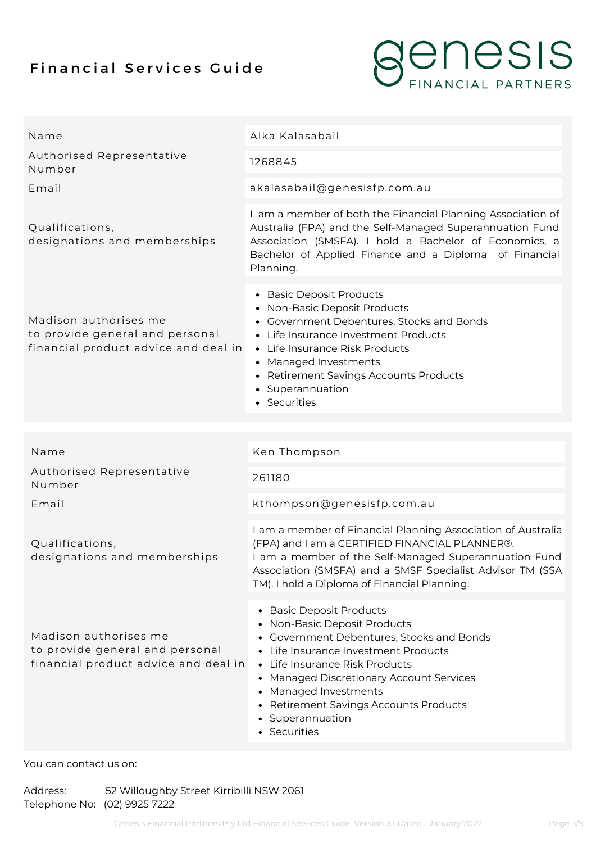

| Name                                                                                             | Alka Kalasabail                                                                                                                                                                                                                                                                                                                    |
|--------------------------------------------------------------------------------------------------|------------------------------------------------------------------------------------------------------------------------------------------------------------------------------------------------------------------------------------------------------------------------------------------------------------------------------------|
| Authorised Representative<br>Number                                                              | 1268845                                                                                                                                                                                                                                                                                                                            |
| Email                                                                                            | akalasabail@genesisfp.com.au                                                                                                                                                                                                                                                                                                       |
| Qualifications,<br>designations and memberships                                                  | I am a member of both the Financial Planning Association of<br>Australia (FPA) and the Self-Managed Superannuation Fund<br>Association (SMSFA). I hold a Bachelor of Economics, a<br>Bachelor of Applied Finance and a Diploma of Financial<br>Planning.                                                                           |
| Madison authorises me<br>to provide general and personal<br>financial product advice and deal in | • Basic Deposit Products<br>• Non-Basic Deposit Products<br>• Government Debentures, Stocks and Bonds<br>• Life Insurance Investment Products<br>• Life Insurance Risk Products<br>• Managed Investments<br>• Retirement Savings Accounts Products<br>• Superannuation<br>• Securities                                             |
|                                                                                                  |                                                                                                                                                                                                                                                                                                                                    |
| Name                                                                                             | Ken Thompson                                                                                                                                                                                                                                                                                                                       |
| Authorised Representative<br>Number                                                              | 261180                                                                                                                                                                                                                                                                                                                             |
| Email                                                                                            | kthompson@genesisfp.com.au                                                                                                                                                                                                                                                                                                         |
| Qualifications,<br>designations and memberships                                                  | I am a member of Financial Planning Association of Australia<br>(FPA) and I am a CERTIFIED FINANCIAL PLANNER®.<br>I am a member of the Self-Managed Superannuation Fund<br>Association (SMSFA) and a SMSF Specialist Advisor TM (SSA<br>TM). I hold a Diploma of Financial Planning.                                               |
| Madison authorises me<br>to provide general and personal<br>financial product advice and deal in | • Basic Deposit Products<br>• Non-Basic Deposit Products<br>• Government Debentures, Stocks and Bonds<br>• Life Insurance Investment Products<br>• Life Insurance Risk Products<br>• Managed Discretionary Account Services<br>• Managed Investments<br>• Retirement Savings Accounts Products<br>• Superannuation<br>• Securities |

#### You can contact us on:

Address: 52 Willoughby Street Kirribilli NSW 2061 Telephone No: (02) 9925 7222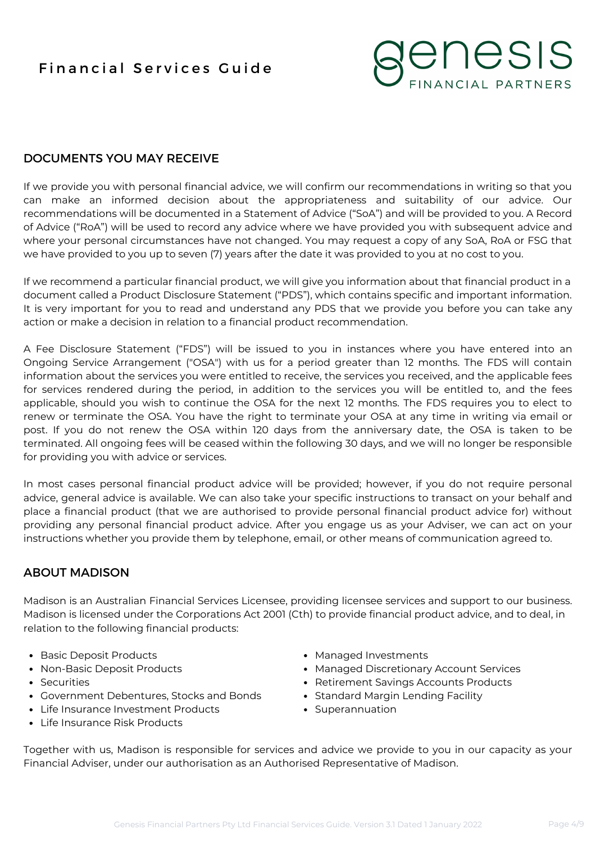

## DOCUMENTS YOU MAY RECEIVE

If we provide you with personal financial advice, we will confirm our recommendations in writing so that you can make an informed decision about the appropriateness and suitability of our advice. Our recommendations will be documented in a Statement of Advice ("SoA") and will be provided to you. A Record of Advice ("RoA") will be used to record any advice where we have provided you with subsequent advice and where your personal circumstances have not changed. You may request a copy of any SoA, RoA or FSG that we have provided to you up to seven (7) years after the date it was provided to you at no cost to you.

If we recommend a particular financial product, we will give you information about that financial product in a document called a Product Disclosure Statement ("PDS"), which contains specific and important information. It is very important for you to read and understand any PDS that we provide you before you can take any action or make a decision in relation to a financial product recommendation.

A Fee Disclosure Statement ("FDS") will be issued to you in instances where you have entered into an Ongoing Service Arrangement ("OSA") with us for a period greater than 12 months. The FDS will contain information about the services you were entitled to receive, the services you received, and the applicable fees for services rendered during the period, in addition to the services you will be entitled to, and the fees applicable, should you wish to continue the OSA for the next 12 months. The FDS requires you to elect to renew or terminate the OSA. You have the right to terminate your OSA at any time in writing via email or post. If you do not renew the OSA within 120 days from the anniversary date, the OSA is taken to be terminated. All ongoing fees will be ceased within the following 30 days, and we will no longer be responsible for providing you with advice or services.

In most cases personal financial product advice will be provided; however, if you do not require personal advice, general advice is available. We can also take your specific instructions to transact on your behalf and place a financial product (that we are authorised to provide personal financial product advice for) without providing any personal financial product advice. After you engage us as your Adviser, we can act on your instructions whether you provide them by telephone, email, or other means of communication agreed to.

### ABOUT MADISON

Madison is an Australian Financial Services Licensee, providing licensee services and support to our business. Madison is licensed under the Corporations Act 2001 (Cth) to provide financial product advice, and to deal, in relation to the following financial products:

- Basic Deposit Products
- Non-Basic Deposit Products
- Securities
- Government Debentures, Stocks and Bonds
- Life Insurance Investment Products
- Life Insurance Risk Products
- Managed Investments
- Managed Discretionary Account Services
- Retirement Savings Accounts Products
- Standard Margin Lending Facility
- Superannuation

Together with us, Madison is responsible for services and advice we provide to you in our capacity as your Financial Adviser, under our authorisation as an Authorised Representative of Madison.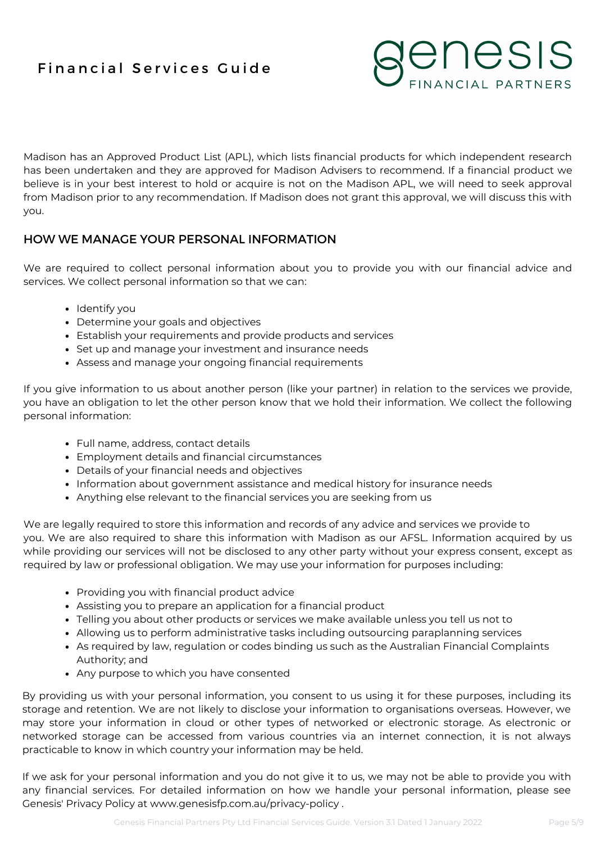

Madison has an Approved Product List (APL), which lists financial products for which independent research has been undertaken and they are approved for Madison Advisers to recommend. If a financial product we believe is in your best interest to hold or acquire is not on the Madison APL, we will need to seek approval from Madison prior to any recommendation. If Madison does not grant this approval, we will discuss this with you.

## HOW WE MANAGE YOUR PERSONAL INFORMATION

We are required to collect personal information about you to provide you with our financial advice and services. We collect personal information so that we can:

- Identify you
- Determine your goals and objectives
- Establish your requirements and provide products and services
- Set up and manage your investment and insurance needs
- Assess and manage your ongoing financial requirements

If you give information to us about another person (like your partner) in relation to the services we provide, you have an obligation to let the other person know that we hold their information. We collect the following personal information:

- Full name, address, contact details
- Employment details and financial circumstances
- Details of your financial needs and objectives
- Information about government assistance and medical history for insurance needs
- Anything else relevant to the financial services you are seeking from us

We are legally required to store this information and records of any advice and services we provide to you. We are also required to share this information with Madison as our AFSL. Information acquired by us while providing our services will not be disclosed to any other party without your express consent, except as required by law or professional obligation. We may use your information for purposes including:

- Providing you with financial product advice
- Assisting you to prepare an application for a financial product
- Telling you about other products or services we make available unless you tell us not to
- Allowing us to perform administrative tasks including outsourcing paraplanning services
- As required by law, regulation or codes binding us such as the Australian Financial Complaints Authority; and
- Any purpose to which you have consented

By providing us with your personal information, you consent to us using it for these purposes, including its storage and retention. We are not likely to disclose your information to organisations overseas. However, we may store your information in cloud or other types of networked or electronic storage. As electronic or networked storage can be accessed from various countries via an internet connection, it is not always practicable to know in which country your information may be held.

If we ask for your personal information and you do not give it to us, we may not be able to provide you with any financial services. For detailed information on how we handle your personal information, please see Genesis' Privacy Policy at www.genesisfp.com.au/privacy-policy .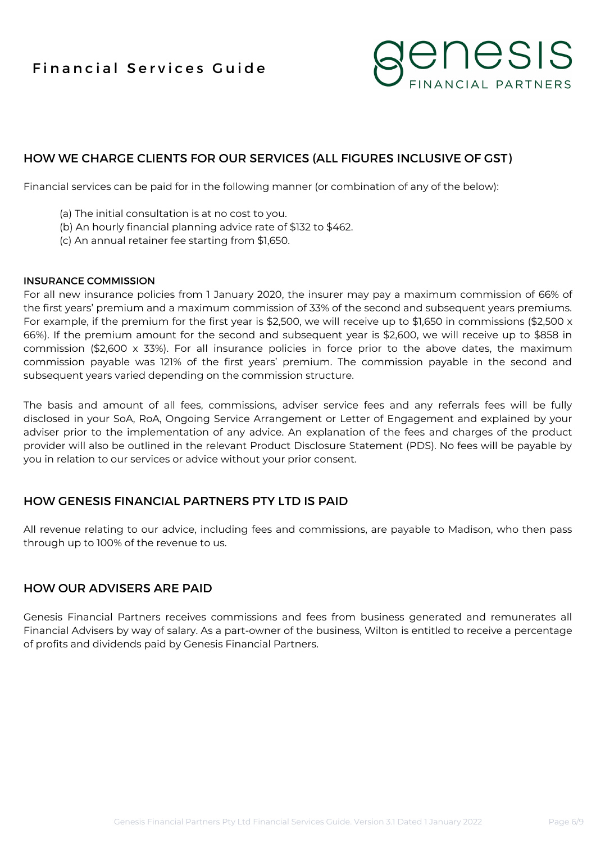

## HOW WE CHARGE CLIENTS FOR OUR SERVICES (ALL FIGURES INCLUSIVE OF GST)

Financial services can be paid for in the following manner (or combination of any of the below):

- (a) The initial consultation is at no cost to you.
- (b) An hourly financial planning advice rate of \$132 to \$462.
- (c) An annual retainer fee starting from \$1,650.

#### INSURANCE COMMISSION

For all new insurance policies from 1 January 2020, the insurer may pay a maximum commission of 66% of the first years' premium and a maximum commission of 33% of the second and subsequent years premiums. For example, if the premium for the first year is \$2,500, we will receive up to \$1,650 in commissions (\$2,500 x 66%). If the premium amount for the second and subsequent year is \$2,600, we will receive up to \$858 in commission (\$2,600 x 33%). For all insurance policies in force prior to the above dates, the maximum commission payable was 121% of the first years' premium. The commission payable in the second and subsequent years varied depending on the commission structure.

The basis and amount of all fees, commissions, adviser service fees and any referrals fees will be fully disclosed in your SoA, RoA, Ongoing Service Arrangement or Letter of Engagement and explained by your adviser prior to the implementation of any advice. An explanation of the fees and charges of the product provider will also be outlined in the relevant Product Disclosure Statement (PDS). No fees will be payable by you in relation to our services or advice without your prior consent.

## HOW GENESIS FINANCIAL PARTNERS PTY LTD IS PAID

All revenue relating to our advice, including fees and commissions, are payable to Madison, who then pass through up to 100% of the revenue to us.

### HOW OUR ADVISERS ARE PAID

Genesis Financial Partners receives commissions and fees from business generated and remunerates all Financial Advisers by way of salary. As a part-owner of the business, Wilton is entitled to receive a percentage of profits and dividends paid by Genesis Financial Partners.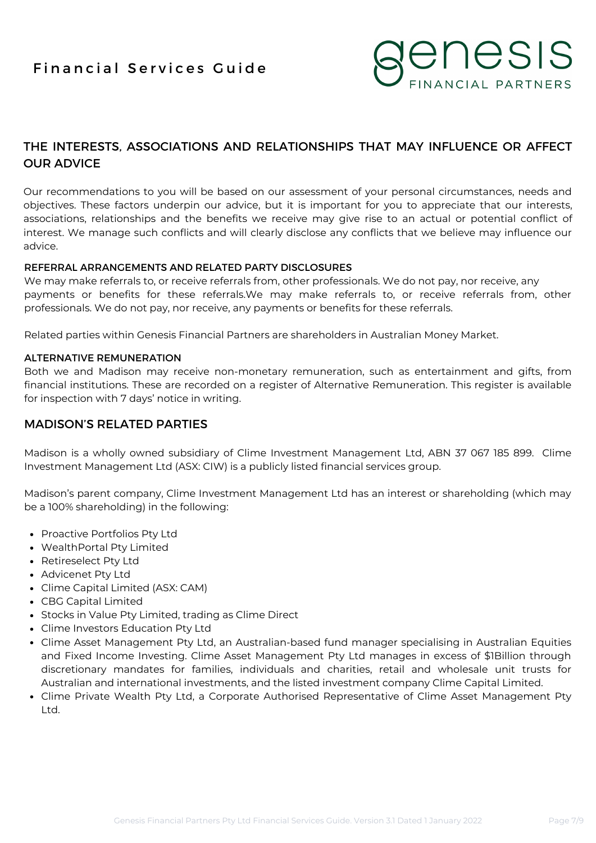

## THE INTERESTS, ASSOCIATIONS AND RELATIONSHIPS THAT MAY INFLUENCE OR AFFECT OUR ADVICE

Our recommendations to you will be based on our assessment of your personal circumstances, needs and objectives. These factors underpin our advice, but it is important for you to appreciate that our interests, associations, relationships and the benefits we receive may give rise to an actual or potential conflict of interest. We manage such conflicts and will clearly disclose any conflicts that we believe may influence our advice.

#### REFERRAL ARRANGEMENTS AND RELATED PARTY DISCLOSURES

We may make referrals to, or receive referrals from, other professionals. We do not pay, nor receive, any payments or benefits for these referrals.We may make referrals to, or receive referrals from, other professionals. We do not pay, nor receive, any payments or benefits for these referrals.

Related parties within Genesis Financial Partners are shareholders in Australian Money Market.

#### ALTERNATIVE REMUNERATION

Both we and Madison may receive non-monetary remuneration, such as entertainment and gifts, from financial institutions. These are recorded on a register of Alternative Remuneration. This register is available for inspection with 7 days' notice in writing.

## MADISON'S RELATED PARTIES

Madison is a wholly owned subsidiary of Clime Investment Management Ltd, ABN 37 067 185 899. Clime Investment Management Ltd (ASX: CIW) is a publicly listed financial services group.

Madison's parent company, Clime Investment Management Ltd has an interest or shareholding (which may be a 100% shareholding) in the following:

- Proactive Portfolios Pty Ltd
- WealthPortal Pty Limited
- Retireselect Pty Ltd
- Advicenet Pty Ltd
- Clime Capital Limited (ASX: CAM)
- CBG Capital Limited
- Stocks in Value Pty Limited, trading as Clime Direct
- Clime Investors Education Pty Ltd
- Clime Asset Management Pty Ltd, an Australian-based fund manager specialising in Australian Equities and Fixed Income Investing. Clime Asset Management Pty Ltd manages in excess of \$1Billion through discretionary mandates for families, individuals and charities, retail and wholesale unit trusts for Australian and international investments, and the listed investment company Clime Capital Limited.
- Clime Private Wealth Pty Ltd, a Corporate Authorised Representative of Clime Asset Management Pty Ltd.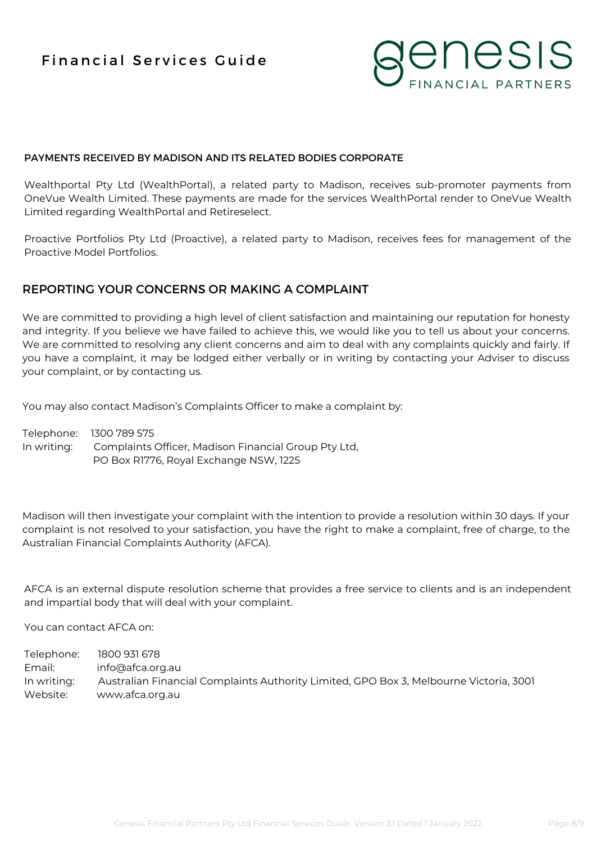

#### PAYMENTS RECEIVED BY MADISON AND ITS RELATED BODIES CORPORATE

Wealthportal Pty Ltd (WealthPortal), a related party to Madison, receives sub-promoter payments from OneVue Wealth Limited. These payments are made for the services WealthPortal render to OneVue Wealth Limited regarding WealthPortal and Retireselect.

Proactive Portfolios Pty Ltd (Proactive), a related party to Madison, receives fees for management of the Proactive Model Portfolios.

#### REPORTING YOUR CONCERNS OR MAKING A COMPLAINT

We are committed to providing a high level of client satisfaction and maintaining our reputation for honesty and integrity. If you believe we have failed to achieve this, we would like you to tell us about your concerns. We are committed to resolving any client concerns and aim to deal with any complaints quickly and fairly. If you have a complaint, it may be lodged either verbally or in writing by contacting your Adviser to discuss your complaint, or by contacting us.

You may also contact Madison's Complaints Officer to make a complaint by:

Telephone: 1300 789 575 In writing: Complaints Officer, Madison Financial Group Pty Ltd, PO Box R1776, Royal Exchange NSW, 1225

Madison will then investigate your complaint with the intention to provide a resolution within 30 days. If your complaint is not resolved to your satisfaction, you have the right to make a complaint, free of charge, to the Australian Financial Complaints Authority (AFCA).

AFCA is an external dispute resolution scheme that provides a free service to clients and is an independent and impartial body that will deal with your complaint.

You can contact AFCA on:

Telephone: 1800 931 678 Email: info@afca.org.au In writing: Australian Financial Complaints Authority Limited, GPO Box 3, Melbourne Victoria, 3001 Website: www.afca.org.au